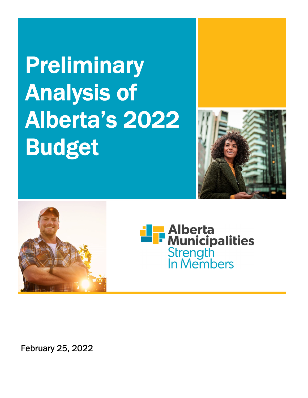





February 25, 2022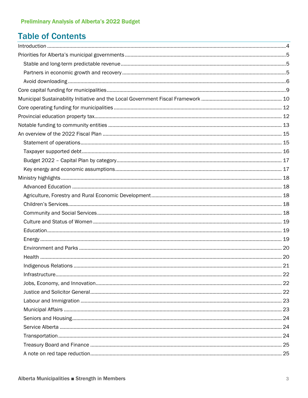#### **Table of Contents**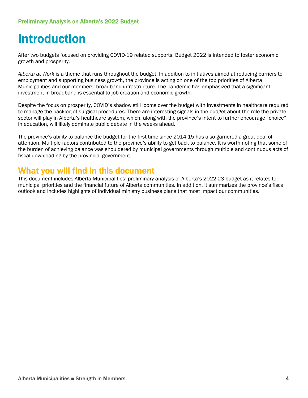# Introduction

After two budgets focused on providing COVID-19 related supports, Budget 2022 is intended to foster economic growth and prosperity.

*Alberta at Work* is a theme that runs throughout the budget. In addition to initiatives aimed at reducing barriers to employment and supporting business growth, the province is acting on one of the top priorities of Alberta Municipalities and our members: broadband infrastructure. The pandemic has emphasized that a significant investment in broadband is essential to job creation and economic growth.

Despite the focus on prosperity, COVID's shadow still looms over the budget with investments in healthcare required to manage the backlog of surgical procedures. There are interesting signals in the budget about the role the private sector will play in Alberta's healthcare system, which, along with the province's intent to further encourage "choice" in education, will likely dominate public debate in the weeks ahead.

The province's ability to balance the budget for the first time since 2014-15 has also garnered a great deal of attention. Multiple factors contributed to the province's ability to get back to balance. It is worth noting that some of the burden of achieving balance was shouldered by municipal governments through multiple and continuous acts of fiscal downloading by the provincial government.

#### What you will find in this document

This document includes Alberta Municipalities' preliminary analysis of Alberta's 2022-23 budget as it relates to municipal priorities and the financial future of Alberta communities. In addition, it summarizes the province's fiscal outlook and includes highlights of individual ministry business plans that most impact our communities.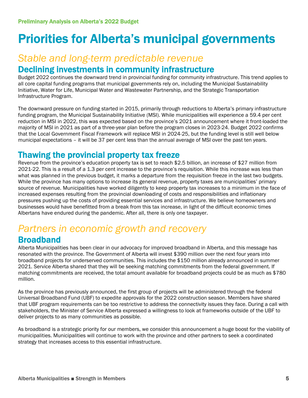# Priorities for Alberta's municipal governments

#### *Stable and long-term predictable revenue*  Declining investments in community infrastructure

Budget 2022 continues the downward trend in provincial funding for community infrastructure. This trend applies to all core capital funding programs that municipal governments rely on, including the Municipal Sustainability Initiative, Water for Life, Municipal Water and Wastewater Partnership, and the Strategic Transportation Infrastructure Program.

The downward pressure on funding started in 2015, primarily through reductions to Alberta's primary infrastructure funding program, the Municipal Sustainability Initiative (MSI). While municipalities will experience a 59.4 per cent reduction in MSI in 2022, this was expected based on the province's 2021 announcement where it front-loaded the majority of MSI in 2021 as part of a three-year plan before the program closes in 2023-24. Budget 2022 confirms that the Local Government Fiscal Framework will replace MSI in 2024-25, but the funding level is still well below municipal expectations – it will be 37 per cent less than the annual average of MSI over the past ten years.

#### Thawing the provincial property tax freeze

Revenue from the province's education property tax is set to reach \$2.5 billion, an increase of \$27 million from 2021-22. This is a result of a 1.3 per cent increase to the province's requisition. While this increase was less than what was planned in the previous budget, it marks a departure from the requisition freeze in the last two budgets. While the province has many options to increase its general revenue, property taxes are municipalities' primary source of revenue. Municipalities have worked diligently to keep property tax increases to a minimum in the face of increased expenses resulting from the provincial downloading of costs and responsibilities and inflationary pressures pushing up the costs of providing essential services and infrastructure. We believe homeowners and businesses would have benefitted from a break from this tax increase, in light of the difficult economic times Albertans have endured during the pandemic. After all, there is only one taxpayer.

#### *Partners in economic growth and recovery*  Broadband

Alberta Municipalities has been clear in our advocacy for improved broadband in Alberta, and this message has resonated with the province. The Government of Alberta will invest \$390 million over the next four years into broadband projects for underserved communities. This includes the \$150 million already announced in summer 2021. Service Alberta shared that they will be seeking matching commitments from the federal government. If matching commitments are received, the total amount available for broadband projects could be as much as \$780 million.

As the province has previously announced, the first group of projects will be administered through the federal Universal Broadband Fund (UBF) to expedite approvals for the 2022 construction season. Members have shared that UBF program requirements can be too restrictive to address the connectivity issues they face. During a call with stakeholders, the Minister of Service Alberta expressed a willingness to look at frameworks outside of the UBF to deliver projects to as many communities as possible.

As broadband is a strategic priority for our members, we consider this announcement a huge boost for the viability of municipalities. Municipalities will continue to work with the province and other partners to seek a coordinated strategy that increases access to this essential infrastructure.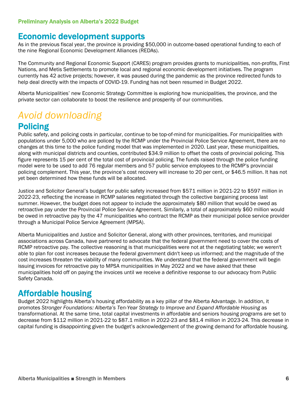#### Economic development supports

As in the previous fiscal year, the province is providing \$50,000 in outcome-based operational funding to each of the nine Regional Economic Development Alliances (REDAs).

The Community and Regional Economic Support (CARES) program provides grants to municipalities, non-profits, First Nations, and Metis Settlements to promote local and regional economic development initiatives. The program currently has 42 active projects; however, it was paused during the pandemic as the province redirected funds to help deal directly with the impacts of COVID-19. Funding has not been resumed in Budget 2022.

Alberta Municipalities' new Economic Strategy Committee is exploring how municipalities, the province, and the private sector can collaborate to boost the resilience and prosperity of our communities.

## *Avoid downloading*

#### Policing

Public safety, and policing costs in particular, continue to be top-of-mind for municipalities. For municipalities with populations under 5,000 who are policed by the RCMP under the Provincial Police Service Agreement, there are no changes at this time to the police funding model that was implemented in 2020. Last year, these municipalities, along with municipal districts and counties, contributed \$34.9 million to offset the costs of provincial policing. This figure represents 15 per cent of the total cost of provincial policing. The funds raised through the police funding model were to be used to add 76 regular members and 57 public service employees to the RCMP's provincial policing complement. This year, the province's cost recovery will increase to 20 per cent, or \$46.5 million. It has not yet been determined how these funds will be allocated.

Justice and Solicitor General's budget for public safety increased from \$571 million in 2021-22 to \$597 million in 2022-23, reflecting the increase in RCMP salaries negotiated through the collective bargaining process last summer. However, the budget does not appear to include the approximately \$80 million that would be owed as retroactive pay under the Provincial Police Service Agreement. Similarly, a total of approximately \$60 million would be owed in retroactive pay by the 47 municipalities who contract the RCMP as their municipal police service provider through a Municipal Police Service Agreement (MPSA).

Alberta Municipalities and Justice and Solicitor General, along with other provinces, territories, and municipal associations across Canada, have partnered to advocate that the federal government need to cover the costs of RCMP retroactive pay. The collective reasoning is that municipalities were not at the negotiating table; we weren't able to plan for cost increases because the federal government didn't keep us informed; and the magnitude of the cost increases threaten the viability of many communities. We understand that the federal government will begin issuing invoices for retroactive pay to MPSA municipalities in May 2022 and we have asked that these municipalities hold off on paying the invoices until we receive a definitive response to our advocacy from Public Safety Canada.

#### Affordable housing

Budget 2022 highlights Alberta's housing affordability as a key pillar of the Alberta Advantage. In addition, it promotes *Stronger Foundations: Alberta's Ten-Year Strategy to Improve and Expand Affordable Housing* as transformational. At the same time, total capital investments in affordable and seniors housing programs are set to decrease from \$112 million in 2021-22 to \$87.1 million in 2022-23 and \$81.4 million in 2023-24. This decrease in capital funding is disappointing given the budget's acknowledgement of the growing demand for affordable housing.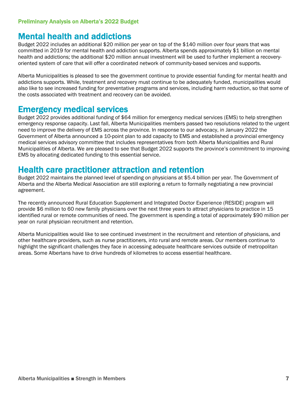#### Mental health and addictions

Budget 2022 includes an additional \$20 million per year on top of the \$140 million over four years that was committed in 2019 for mental health and addiction supports. Alberta spends approximately \$1 billion on mental health and addictions; the additional \$20 million annual investment will be used to further implement a recoveryoriented system of care that will offer a coordinated network of community-based services and supports.

Alberta Municipalities is pleased to see the government continue to provide essential funding for mental health and addictions supports. While, treatment and recovery must continue to be adequately funded, municipalities would also like to see increased funding for preventative programs and services, including harm reduction, so that some of the costs associated with treatment and recovery can be avoided.

#### Emergency medical services

Budget 2022 provides additional funding of \$64 million for emergency medical services (EMS) to help strengthen emergency response capacity. Last fall, Alberta Municipalities members passed two resolutions related to the urgent need to improve the delivery of EMS across the province. In response to our advocacy, in January 2022 the Government of Alberta announced a 10-point plan to add capacity to EMS and established a provincial emergency medical services advisory committee that includes representatives from both Alberta Municipalities and Rural Municipalities of Alberta. We are pleased to see that Budget 2022 supports the province's commitment to improving EMS by allocating dedicated funding to this essential service.

#### Health care practitioner attraction and retention

Budget 2022 maintains the planned level of spending on physicians at \$5.4 billion per year. The Government of Alberta and the Alberta Medical Association are still exploring a return to formally negotiating a new provincial agreement.

The recently announced Rural Education Supplement and Integrated Doctor Experience (RESIDE) program will provide \$6 million to 60 new family physicians over the next three years to attract physicians to practice in 15 identified rural or remote communities of need. The government is spending a total of approximately \$90 million per year on rural physician recruitment and retention.

Alberta Municipalities would like to see continued investment in the recruitment and retention of physicians, and other healthcare providers, such as nurse practitioners, into rural and remote areas. Our members continue to highlight the significant challenges they face in accessing adequate healthcare services outside of metropolitan areas. Some Albertans have to drive hundreds of kilometres to access essential healthcare.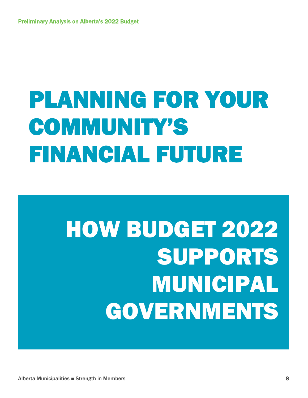# PLANNING FOR YOUR COMMUNITY'S FINANCIAL FUTURE

# HOW BUDGET 2022 SUPPORTS MUNICIPAL GOVERNMENTS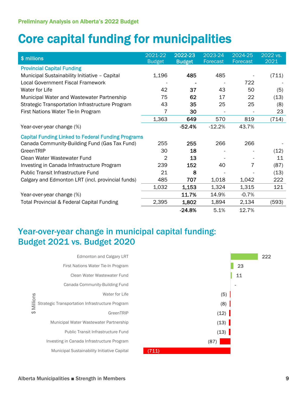# Core capital funding for municipalities

| \$ millions                                               | 2021-22<br><b>Budget</b> | 2022-23<br><b>Budget</b> | 2023-24<br>Forecast | 2024-25<br>Forecast | 2022 vs.<br>2021 |
|-----------------------------------------------------------|--------------------------|--------------------------|---------------------|---------------------|------------------|
| <b>Provincial Capital Funding</b>                         |                          |                          |                     |                     |                  |
| Municipal Sustainability Initiative - Capital             | 1,196                    | 485                      | 485                 |                     | (711)            |
| <b>Local Government Fiscal Framework</b>                  |                          |                          |                     | 722                 |                  |
| Water for Life                                            | 42                       | 37                       | 43                  | 50                  | (5)              |
| Municipal Water and Wastewater Partnership                | 75                       | 62                       | 17                  | 22                  | (13)             |
| Strategic Transportation Infrastructure Program           | 43                       | 35                       | 25                  | 25                  | (8)              |
| First Nations Water Tie-In Program                        | 7                        | 30                       |                     |                     | 23               |
|                                                           | 1,363                    | 649                      | 570                 | 819                 | (714)            |
| Year-over-year change (%)                                 |                          | $-52.4%$                 | $-12.2%$            | 43.7%               |                  |
| <b>Capital Funding Linked to Federal Funding Programs</b> |                          |                          |                     |                     |                  |
| Canada Community-Building Fund (Gas Tax Fund)             | 255                      | 255                      | 266                 | 266                 |                  |
| GreenTRIP                                                 | 30                       | 18                       |                     |                     | (12)             |
| Clean Water Wastewater Fund                               | 2                        | 13                       |                     |                     | 11               |
| Investing in Canada Infrastructure Program                | 239                      | 152                      | 40                  |                     | (87)             |
| <b>Public Transit Infrastructure Fund</b>                 | 21                       | 8                        |                     |                     | (13)             |
| Calgary and Edmonton LRT (incl. provincial funds)         | 485                      | 707                      | 1,018               | 1,042               | 222              |
|                                                           | 1,032                    | 1,153                    | 1,324               | 1,315               | 121              |
| Year-over-year change (%)                                 |                          | 11.7%                    | 14.9%               | $-0.7%$             |                  |
| Total Provincial & Federal Capital Funding                | 2,395                    | 1,802                    | 1,894               | 2,134               | (593)            |
|                                                           |                          | $-24.8%$                 | 5.1%                | 12.7%               |                  |

#### Year-over-year change in municipal capital funding: Budget 2021 vs. Budget 2020

|                   | <b>Edmonton and Calgary LRT</b>                 |  |       |  |  |      |      |    | 222 |  |
|-------------------|-------------------------------------------------|--|-------|--|--|------|------|----|-----|--|
|                   | First Nations Water Tie-In Program              |  |       |  |  |      |      | 23 |     |  |
|                   | Clean Water Wastewater Fund                     |  |       |  |  |      |      | 11 |     |  |
|                   | Canada Community-Building Fund                  |  |       |  |  |      |      |    |     |  |
|                   | Water for Life                                  |  |       |  |  |      | (5)  |    |     |  |
| Millions          | Strategic Transportation Infrastructure Program |  |       |  |  |      | (8)  |    |     |  |
| $\leftrightarrow$ | GreenTRIP                                       |  |       |  |  |      | (12) |    |     |  |
|                   | Municipal Water Wastewater Partnership          |  |       |  |  |      | (13) |    |     |  |
|                   | Public Transit Infrastructure Fund              |  |       |  |  |      | (13) |    |     |  |
|                   | Investing in Canada Infrastructure Program      |  |       |  |  | (87) |      |    |     |  |
|                   | Municipal Sustainability Initiative Capital     |  | (711) |  |  |      |      |    |     |  |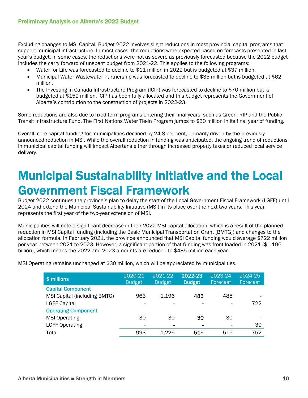Excluding changes to MSI Capital, Budget 2022 involves slight reductions in most provincial capital programs that support municipal infrastructure. In most cases, the reductions were expected based on forecasts presented in last year's budget. In some cases, the reductions were not as severe as previously forecasted because the 2022 budget includes the carry forward of unspent budget from 2021-22. This applies to the following programs:

- Water for Life was forecasted to decline to \$11 million in 2022 but is budgeted at \$37 million.
- Municipal Water Wastewater Partnership was forecasted to decline to \$35 million but is budgeted at \$62 million.
- The Investing in Canada Infrastructure Program (ICIP) was forecasted to decline to \$70 million but is budgeted at \$152 million. ICIP has been fully allocated and this budget represents the Government of Alberta's contribution to the construction of projects in 2022-23.

Some reductions are also due to fixed-term programs entering their final years, such as GreenTRIP and the Public Transit Infrastructure Fund. The First Nations Water Tie-In Program jumps to \$30 million in its final year of funding.

Overall, core capital funding for municipalities declined by 24.8 per cent, primarily driven by the previously announced reduction in MSI. While the overall reduction in funding was anticipated, the ongoing trend of reductions in municipal capital funding will impact Albertans either through increased property taxes or reduced local service delivery.

# Municipal Sustainability Initiative and the Local Government Fiscal Framework

Budget 2022 continues the province's plan to delay the start of the Local Government Fiscal Framework (LGFF) until 2024 and extend the Municipal Sustainability Initiative (MSI) in its place over the next two years. This year represents the first year of the two-year extension of MSI.

Municipalities will note a significant decrease in their 2022 MSI capital allocation, which is a result of the planned reduction in MSI Capital funding (including the Basic Municipal Transportation Grant [BMTG]) and changes to the allocation formula. In February 2021, the province announced that MSI Capital funding would average \$722 million per year between 2021 to 2023. However, a significant portion of that funding was front-loaded in 2021 (\$1.196 billion), which means the 2022 and 2023 amounts are reduced to \$485 million each year.

MSI Operating remains unchanged at \$30 million, which will be appreciated by municipalities.

| \$ millions                  | 2020-21<br><b>Budget</b> | 2021-22<br><b>Budget</b> | 2022-23<br><b>Budget</b> | 2023-24<br>Forecast | 2024-25<br>Forecast |
|------------------------------|--------------------------|--------------------------|--------------------------|---------------------|---------------------|
| <b>Capital Component</b>     |                          |                          |                          |                     |                     |
| MSI Capital (including BMTG) | 963                      | 1,196                    | 485                      | 485                 |                     |
| <b>LGFF Capital</b>          |                          |                          |                          |                     | 722                 |
| <b>Operating Component</b>   |                          |                          |                          |                     |                     |
| <b>MSI Operating</b>         | 30                       | 30                       | 30                       | 30                  |                     |
| <b>LGFF Operating</b>        |                          |                          |                          |                     | 30                  |
| Total                        | 993                      | 1,226                    | 515                      | 515                 | 752                 |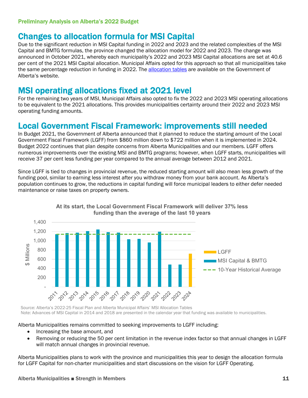#### Changes to allocation formula for MSI Capital

Due to the significant reduction in MSI Capital funding in 2022 and 2023 and the related complexities of the MSI Capital and BMTG formulas, the province changed the allocation model for 2022 and 2023. The change was announced in October 2021, whereby each municipality's 2022 and 2023 MSI Capital allocations are set at 40.6 per cent of the 2021 MSI Capital allocation. Municipal Affairs opted for this approach so that all municipalities take the same percentage reduction in funding in 2022. The allocation tables are available on the Government of Alberta's website.

#### MSI operating allocations fixed at 2021 level

For the remaining two years of MSI, Municipal Affairs also opted to fix the 2022 and 2023 MSI operating allocations to be equivalent to the 2021 allocations. This provides municipalities certainty around their 2022 and 2023 MSI operating funding amounts.

#### Local Government Fiscal Framework: improvements still needed

In Budget 2021, the Government of Alberta announced that it planned to reduce the starting amount of the Local Government Fiscal Framework (LGFF) from \$860 million down to \$722 million when it is implemented in 2024. Budget 2022 continues that plan despite concerns from Alberta Municipalities and our members. LGFF offers numerous improvements over the existing MSI and BMTG programs; however, when LGFF starts, municipalities will receive 37 per cent less funding per year compared to the annual average between 2012 and 2021.

Since LGFF is tied to changes in provincial revenue, the reduced starting amount will also mean less growth of the funding pool, similar to earning less interest after you withdraw money from your bank account. As Alberta's population continues to grow, the reductions in capital funding will force municipal leaders to either defer needed maintenance or raise taxes on property owners.



**At its start, the Local Government Fiscal Framework will deliver 37% less funding than the average of the last 10 years**

Source: Alberta's 2022-25 Fiscal Plan and Alberta Municipal Affairs' MSI Allocation Tables Note: Advances of MSI Capital in 2014 and 2018 are presented in the calendar year that funding was available to municipalities.

Alberta Municipalities remains committed to seeking improvements to LGFF including:

- Increasing the base amount, and
- Removing or reducing the 50 per cent limitation in the revenue index factor so that annual changes in LGFF will match annual changes in provincial revenue.

Alberta Municipalities plans to work with the province and municipalities this year to design the allocation formula for LGFF Capital for non-charter municipalities and start discussions on the vision for LGFF Operating.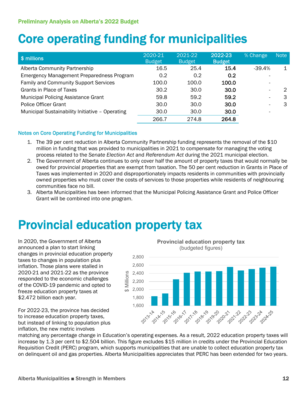# Core operating funding for municipalities

| \$ millions                                     | 2020-21<br><b>Budget</b> | 2021-22<br><b>Budget</b> | 2022-23<br><b>Budget</b> | % Change                 | <b>Note</b> |
|-------------------------------------------------|--------------------------|--------------------------|--------------------------|--------------------------|-------------|
| Alberta Community Partnership                   | 16.5                     | 25.4                     | 15.4                     | $-39.4%$                 | 1           |
| Emergency Management Preparedness Program       | 0.2                      | 0.2                      | 0.2                      |                          |             |
| <b>Family and Community Support Services</b>    | 100.0                    | 100.0                    | 100.0                    | $\overline{\phantom{a}}$ |             |
| Grants in Place of Taxes                        | 30.2                     | 30.0                     | 30.0                     | $\overline{\phantom{a}}$ | 2           |
| Municipal Policing Assistance Grant             | 59.8                     | 59.2                     | 59.2                     | $\overline{\phantom{0}}$ | З           |
| <b>Police Officer Grant</b>                     | 30.0                     | 30.0                     | 30.0                     | $\overline{\phantom{0}}$ | 3           |
| Municipal Sustainability Initiative - Operating | 30.0                     | 30.0                     | 30.0                     | $\overline{\phantom{0}}$ |             |
|                                                 | 266.7                    | 274.8                    | 264.8                    |                          |             |

#### Notes on Core Operating Funding for Municipalities

- 1. The 39 per cent reduction in Alberta Community Partnership funding represents the removal of the \$10 million in funding that was provided to municipalities in 2021 to compensate for managing the voting process related to the *Senate Election Act* and *Referendum Act* during the 2021 municipal election.
- 2. The Government of Alberta continues to only cover half the amount of property taxes that would normally be owed for provincial properties that are exempt from taxation. The 50 per cent reduction in Grants in Place of Taxes was implemented in 2020 and disproportionately impacts residents in communities with provincially owned properties who must cover the costs of services to those properties while residents of neighbouring communities face no bill.
- 3. Alberta Municipalities has been informed that the Municipal Policing Assistance Grant and Police Officer Grant will be combined into one program.

# Provincial education property tax

**Millions** 

In 2020, the Government of Alberta announced a plan to start linking changes in provincial education property taxes to changes in population plus inflation. Those plans were stalled in 2020-21 and 2021-22 as the province responded to the economic challenges of the COVID-19 pandemic and opted to freeze education property taxes at \$2.472 billion each year.

For 2022-23, the province has decided to increase education property taxes, but instead of linking to population plus inflation, the new metric involves

**Provincial education property tax**  (budgeted figures) 2,800 2,600 2,400 2,200 2,000 1,800 1,600 2011-18 **2015-16 2016-17 2018-29** 2019-20 2020-21 2023-24 2021-22 2022.23 24 22:25

matching any percentage change in Education's operating expenses. As a result, 2022 education property taxes will increase by 1.3 per cent to \$2.504 billion. This figure excludes \$15 million in credits under the Provincial Education Requisition Credit (PERC) program, which supports municipalities that are unable to collect education property tax on delinquent oil and gas properties. Alberta Municipalities appreciates that PERC has been extended for two years.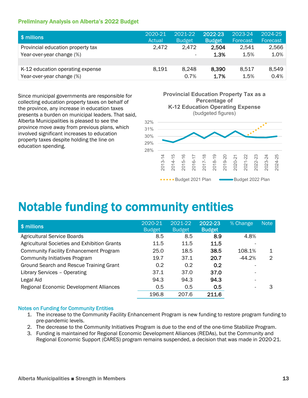| $\vert$ \$ millions                                            | 2020-21<br>Actual | 2021-22<br><b>Budget</b> | 2022-23<br><b>Budget</b> | 2023-24<br>Forecast | 2024-25<br><b>Forecast</b> |
|----------------------------------------------------------------|-------------------|--------------------------|--------------------------|---------------------|----------------------------|
| Provincial education property tax<br>Year-over-year change (%) | 2,472             | 2.472                    | 2,504<br>1.3%            | 2.541<br>1.5%       | 2,566<br>1.0%              |
|                                                                |                   | $\overline{\phantom{a}}$ |                          |                     |                            |
| K-12 education operating expense                               | 8,191             | 8.248                    | 8,390                    | 8,517               | 8,549                      |
| Year-over-year change (%)                                      |                   | 0.7%                     | 1.7%                     | 1.5%                | 0.4%                       |

Since municipal governments are responsible for collecting education property taxes on behalf of the province, any increase in education taxes presents a burden on municipal leaders. That said, Alberta Municipalities is pleased to see the province move away from previous plans, which involved significant increases to education property taxes despite holding the line on education spending.





# Notable funding to community entities

| \$ millions                                   | 2020-21<br><b>Budget</b> | 2021-22<br><b>Budget</b> | 2022-23<br><b>Budget</b> | % Change | <b>Note</b> |
|-----------------------------------------------|--------------------------|--------------------------|--------------------------|----------|-------------|
| <b>Agricultural Service Boards</b>            | 8.5                      | 8.5                      | 8.9                      | 4.8%     |             |
| Agricultural Societies and Exhibition Grants  | 11.5                     | 11.5                     | 11.5                     |          |             |
| <b>Community Facility Enhancement Program</b> | 25.0                     | 18.5                     | 38.5                     | 108.1%   | 1           |
| <b>Community Initiatives Program</b>          | 19.7                     | 37.1                     | 20.7                     | $-44.2%$ | 2           |
| Ground Search and Rescue Training Grant       | 0.2                      | 0.2                      | 0.2                      |          |             |
| Library Services - Operating                  | 37.1                     | 37.0                     | 37.0                     |          |             |
| Legal Aid                                     | 94.3                     | 94.3                     | 94.3                     |          |             |
| Regional Economic Development Alliances       | 0.5                      | 0.5                      | 0.5                      |          | З           |
|                                               | 196.8                    | 207.6                    | 211.6                    |          |             |

#### Notes on Funding for Community Entities

- 1. The increase to the Community Facility Enhancement Program is new funding to restore program funding to pre-pandemic levels.
- 2. The decrease to the Community Initiatives Program is due to the end of the one-time Stabilize Program.
- 3. Funding is maintained for Regional Economic Development Alliances (REDAs), but the Community and Regional Economic Support (CARES) program remains suspended, a decision that was made in 2020-21.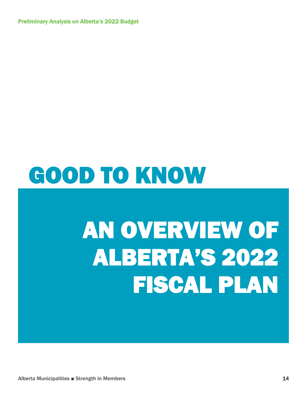# GOOD TO KNOW

# AN OVERVIEW OF ALBERTA'S 2022 FISCAL PLAN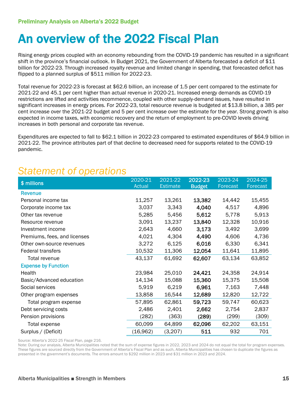# An overview of the 2022 Fiscal Plan

Rising energy prices coupled with an economy rebounding from the COVID-19 pandemic has resulted in a significant shift in the province's financial outlook. In Budget 2021, the Government of Alberta forecasted a deficit of \$11 billion for 2022-23. Through increased royalty revenue and limited change in spending, that forecasted deficit has flipped to a planned surplus of \$511 million for 2022-23.

Total revenue for 2022-23 is forecast at \$62.6 billion, an increase of 1.5 per cent compared to the estimate for 2021-22 and 45.1 per cent higher than actual revenue in 2020-21. Increased energy demands as COVID-19 restrictions are lifted and activities recommence, coupled with other supply-demand issues, have resulted in significant increases in energy prices. For 2022-23, total resource revenue is budgeted at \$13.8 billion, a 385 per cent increase over the 2021-22 budget and 5 per cent increase over the estimate for the year. Strong growth is also expected in income taxes, with economic recovery and the return of employment to pre-COVID levels driving increases in both personal and corporate tax revenue.

Expenditures are expected to fall to \$62.1 billion in 2022-23 compared to estimated expenditures of \$64.9 billion in 2021-22. The province attributes part of that decline to decreased need for supports related to the COVID-19 pandemic.

#### *Statement of operations*

| \$ millions                  | 2020-21<br>Actual | 2021-22<br><b>Estimate</b> | 2022-23<br><b>Budget</b> | 2023-24<br>Forecast | 2024-25<br>Forecast |
|------------------------------|-------------------|----------------------------|--------------------------|---------------------|---------------------|
| <b>Revenue</b>               |                   |                            |                          |                     |                     |
| Personal income tax          | 11,257            | 13,261                     | 13,382                   | 14,442              | 15,455              |
| Corporate income tax         | 3,037             | 3,343                      | 4,040                    | 4,517               | 4,896               |
| Other tax revenue            | 5,285             | 5,456                      | 5,612                    | 5,778               | 5,913               |
| Resource revenue             | 3,091             | 13,237                     | 13,840                   | 12,328              | 10,916              |
| Investment income            | 2,643             | 4,660                      | 3,173                    | 3,492               | 3,699               |
| Premiums, fees, and licenses | 4,021             | 4,304                      | 4,490                    | 4,606               | 4,736               |
| Other own-source revenues    | 3,272             | 6,125                      | 6,016                    | 6,330               | 6,341               |
| <b>Federal transfers</b>     | 10,532            | 11,306                     | 12,054                   | 11,641              | 11,895              |
| <b>Total revenue</b>         | 43,137            | 61,692                     | 62,607                   | 63,134              | 63,852              |
| <b>Expense by Function</b>   |                   |                            |                          |                     |                     |
| Health                       | 23,984            | 25,010                     | 24,421                   | 24,358              | 24,914              |
| Basic/Advanced education     | 14,134            | 15,088                     | 15,360                   | 15,375              | 15,508              |
| Social services              | 5,919             | 6,219                      | 6,961                    | 7,163               | 7,448               |
| Other program expenses       | 13,858            | 16,544                     | 12,689                   | 12,820              | 12,722              |
| Total program expense        | 57,895            | 62,861                     | 59,723                   | 59,747              | 60,623              |
| Debt servicing costs         | 2,486             | 2,401                      | 2,662                    | 2,754               | 2,837               |
| Pension provisions           | (282)             | (363)                      | (289)                    | (299)               | (309)               |
| Total expense                | 60,099            | 64,899                     | 62,096                   | 62,202              | 63,151              |
| Surplus / (Deficit)          | (16, 962)         | (3,207)                    | 511                      | 932                 | 701                 |

Source: Alberta's 2022-25 Fiscal Plan, page 216.

Note: During our analysis, Alberta Municipalities noted that the sum of expense figures in 2022, 2023 and 2024 do not equal the total for program expenses. These figures are sourced directly from the Government of Alberta's Fiscal Plan and as such, Alberta Municipalities has chosen to duplicate the figures as presented in the government's documents. The errors amount to \$292 million in 2023 and \$31 million in 2023 and 2024.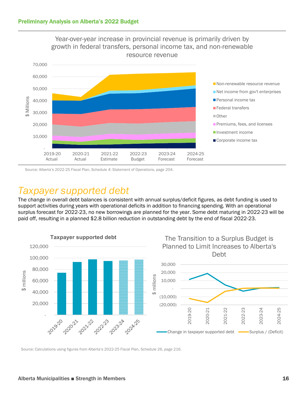

Year-over-year increase in provincial revenue is primarily driven by

Source: Alberta's 2022-25 Fiscal Plan, Schedule 4: Statement of Operations, page 204.

#### *Taxpayer supported debt*

The change in overall debt balances is consistent with annual surplus/deficit figures, as debt funding is used to support activities during years with operational deficits in addition to financing spending. With an operational surplus forecast for 2022-23, no new borrowings are planned for the year. Some debt maturing in 2022-23 will be paid off, resulting in a planned \$2.8 billion reduction in outstanding debt by the end of fiscal 2022-23.



Source: Calculations using figures from Alberta's 2022-25 Fiscal Plan, Schedule 26, page 216.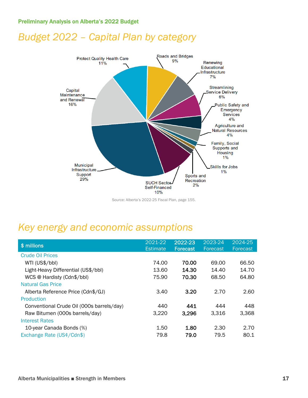#### *Budget 2022 – Capital Plan by category*



Source: Alberta's 2022-25 Fiscal Plan, page 155.

#### *Key energy and economic assumptions*

| \$ millions                               | 2021-22<br><b>Estimate</b> | 2022-23<br><b>Forecast</b> | 2023-24<br>Forecast, | 2024-25<br>Forecast |
|-------------------------------------------|----------------------------|----------------------------|----------------------|---------------------|
| <b>Crude Oil Prices</b>                   |                            |                            |                      |                     |
| WTI (US\$/bbl)                            | 74.00                      | 70.00                      | 69.00                | 66.50               |
| Light-Heavy Differential (US\$/bbl)       | 13.60                      | 14.30                      | 14.40                | 14.70               |
| WCS @ Hardisty (Cdn\$/bbl)                | 75.90                      | 70.30                      | 68.50                | 64.80               |
| <b>Natural Gas Price</b>                  |                            |                            |                      |                     |
| Alberta Reference Price (Cdn\$/GJ)        | 3.40                       | 3.20                       | 2.70                 | 2.60                |
| Production                                |                            |                            |                      |                     |
| Conventional Crude Oil (000s barrels/day) | 440                        | 441                        | 444                  | 448                 |
| Raw Bitumen (000s barrels/day)            | 3,220                      | 3,296                      | 3.316                | 3,368               |
| <b>Interest Rates</b>                     |                            |                            |                      |                     |
| 10-year Canada Bonds (%)                  | 1.50                       | 1.80                       | 2.30                 | 2.70                |
| Exchange Rate (US¢/Cdn\$)                 | 79.8                       | 79.0                       | 79.5                 | 80.1                |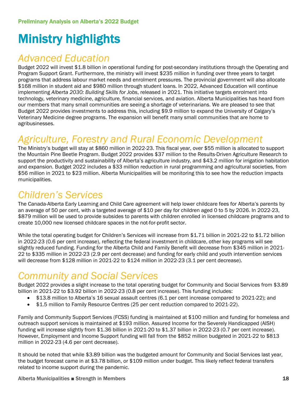# Ministry highlights

#### *Advanced Education*

Budget 2022 will invest \$1.8 billion in operational funding for post-secondary institutions through the Operating and Program Support Grant. Furthermore, the ministry will invest \$235 million in funding over three years to target programs that address labour market needs and enrolment pressures. The provincial government will also allocate \$168 million in student aid and \$980 million through student loans. In 2022, Advanced Education will continue implementing *Alberta 2030: Building Skills for Jobs*, released in 2021. This initiative targets enrolment into technology, veterinary medicine, agriculture, financial services, and aviation. Alberta Municipalities has heard from our members that many small communities are seeing a shortage of veterinarians. We are pleased to see that Budget 2022 provides investments to address this, including \$9.9 million to expand the University of Calgary's Veterinary Medicine degree programs. The expansion will benefit many small communities that are home to agribusinesses.

## *Agriculture, Forestry and Rural Economic Development*

The Ministry's budget will stay at \$860 million in 2022-23. This fiscal year, over \$55 million is allocated to support the Mountain Pine Beetle Program. Budget 2022 provides \$37 million to the Results-Driven Agriculture Research to support the productivity and sustainability of Alberta's agriculture industry, and \$43.2 million for irrigation habitation and expansion. Budget 2022 includes a \$33 million reduction in rural programming and agricultural societies, from \$56 million in 2021 to \$23 million. Alberta Municipalities will be monitoring this to see how the reduction impacts municipalities.

#### *Children's Services*

The Canada-Alberta Early Learning and Child Care agreement will help lower childcare fees for Alberta's parents by an average of 50 per cent, with a targeted average of \$10 per day for children aged 0 to 5 by 2026. In 2022-23, \$879 million will be used to provide subsides to parents with children enrolled in licensed childcare programs and to create 10,000 new licensed childcare spaces in the not-for-profit sector.

While the total operating budget for Children's Services will increase from \$1.71 billion in 2021-22 to \$1.72 billion in 2022-23 (0.6 per cent increase), reflecting the federal investment in childcare, other key programs will see slightly reduced funding. Funding for the Alberta Child and Family Benefit will decrease from \$345 million in 2021- 22 to \$335 million in 2022-23 (2.9 per cent decrease) and funding for early child and youth intervention services will decrease from \$128 million in 2021-22 to \$124 million in 2022-23 (3.1 per cent decrease).

#### *Community and Social Services*

Budget 2022 provides a slight increase to the total operating budget for Community and Social Services from \$3.89 billion in 2021-22 to \$3.92 billion in 2022-23 (0.8 per cent increase). This funding includes:

- \$13.8 million to Alberta's 16 sexual assault centres (6.1 per cent increase compared to 2021-22); and
- \$1.5 million to Family Resource Centres (25 per cent reduction compared to 2021-22).

Family and Community Support Services (FCSS) funding is maintained at \$100 million and funding for homeless and outreach support services is maintained at \$193 million. Assured Income for the Severely Handicapped (AISH) funding will increase slightly from \$1.36 billion in 2021-20 to \$1.37 billion in 2022-23 (0.7 per cent increase). However, Employment and Income Support funding will fall from the \$852 million budgeted in 2021-22 to \$813 million in 2022-23 (4.6 per cent decrease).

It should be noted that while \$3.89 billion was the budgeted amount for Community and Social Services last year, the budget forecast came in at \$3.78 billion, or \$109 million under budget. This likely reflect federal transfers related to income support during the pandemic.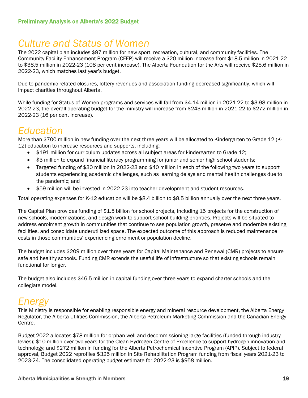#### *Culture and Status of Women*

The 2022 capital plan includes \$97 million for new sport, recreation, cultural, and community facilities. The Community Facility Enhancement Program (CFEP) will receive a \$20 million increase from \$18.5 million in 2021-22 to \$38.5 million in 2022-23 (108 per cent increase). The Alberta Foundation for the Arts will receive \$25.6 million in 2022-23, which matches last year's budget.

Due to pandemic related closures, lottery revenues and association funding decreased significantly, which will impact charities throughout Alberta.

While funding for Status of Women programs and services will fall from \$4.14 million in 2021-22 to \$3.98 million in 2022-23, the overall operating budget for the ministry will increase from \$243 million in 2021-22 to \$272 million in 2022-23 (16 per cent increase).

#### *Education*

More than \$700 million in new funding over the next three years will be allocated to Kindergarten to Grade 12 (K-12) education to increase resources and supports, including:

- \$191 million for curriculum updates across all subject areas for kindergarten to Grade 12;
- \$3 million to expand financial literacy programming for junior and senior high school students;
- Targeted funding of \$30 million in 2022-23 and \$40 million in each of the following two years to support students experiencing academic challenges, such as learning delays and mental health challenges due to the pandemic; and
- \$59 million will be invested in 2022-23 into teacher development and student resources.

Total operating expenses for K-12 education will be \$8.4 billion to \$8.5 billion annually over the next three years.

The Capital Plan provides funding of \$1.5 billion for school projects, including 15 projects for the construction of new schools, modernizations, and design work to support school building priorities. Projects will be situated to address enrolment growth in communities that continue to see population growth, preserve and modernize existing facilities, and consolidate underutilized space. The expected outcome of this approach is reduced maintenance costs in those communities' experiencing enrolment or population decline.

The budget includes \$209 million over three years for Capital Maintenance and Renewal (CMR) projects to ensure safe and healthy schools. Funding CMR extends the useful life of infrastructure so that existing schools remain functional for longer.

The budget also includes \$46.5 million in capital funding over three years to expand charter schools and the collegiate model.

#### *Energy*

This Ministry is responsible for enabling responsible energy and mineral resource development, the Alberta Energy Regulator, the Alberta Utilities Commission, the Alberta Petroleum Marketing Commission and the Canadian Energy Centre.

Budget 2022 allocates \$78 million for orphan well and decommissioning large facilities (funded through industry levies); \$10 million over two years for the Clean Hydrogen Centre of Excellence to support hydrogen innovation and technology; and \$272 million in funding for the Alberta Petrochemical Incentive Program (APIP). Subject to federal approval, Budget 2022 reprofiles \$325 million in Site Rehabilitation Program funding from fiscal years 2021-23 to 2023-24. The consolidated operating budget estimate for 2022-23 is \$958 million.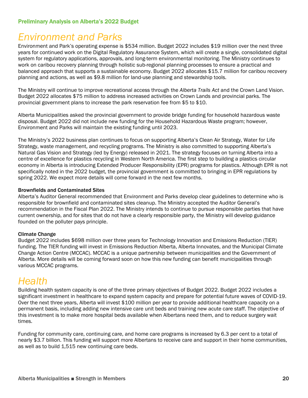## *Environment and Parks*

Environment and Park's operating expense is \$534 million. Budget 2022 includes \$19 million over the next three years for continued work on the Digital Regulatory Assurance System, which will create a single, consolidated digital system for regulatory applications, approvals, and long-term environmental monitoring. The Ministry continues to work on caribou recovery planning through holistic sub-regional planning processes to ensure a practical and balanced approach that supports a sustainable economy. Budget 2022 allocates \$15.7 million for caribou recovery planning and actions, as well as \$9.8 million for land-use planning and stewardship tools.

The Ministry will continue to improve recreational access through the *Alberta Trails Act* and the Crown Land Vision. Budget 2022 allocates \$75 million to address increased activities on Crown Lands and provincial parks. The provincial government plans to increase the park reservation fee from \$5 to \$10.

Alberta Municipalities asked the provincial government to provide bridge funding for household hazardous waste disposal. Budget 2022 did not include new funding for the Household Hazardous Waste program; however, Environment and Parks will maintain the existing funding until 2023.

The Ministry's 2022 business plan continues to focus on supporting Alberta's Clean Air Strategy, Water for Life Strategy, waste management, and recycling programs. The Ministry is also committed to supporting Alberta's Natural Gas Vision and Strategy (led by Energy) released in 2021. The strategy focuses on turning Alberta into a centre of excellence for plastics recycling in Western North America. The first step to building a plastics circular economy in Alberta is introducing Extended Producer Responsibility (EPR) programs for plastics. Although EPR is not specifically noted in the 2022 budget, the provincial government is committed to bringing in EPR regulations by spring 2022. We expect more details will come forward in the next few months.

#### Brownfields and Contaminated Sites

Alberta's Auditor General recommended that Environment and Parks develop clear guidelines to determine who is responsible for brownfield and contaminated sites cleanup. The Ministry accepted the Auditor General's recommendation in the Fiscal Plan 2022. The Ministry intends to continue to pursue responsible parties that have current ownership, and for sites that do not have a clearly responsible party, the Ministry will develop guidance founded on the polluter pays principle.

#### Climate Change

Budget 2022 includes \$698 million over three years for Technology Innovation and Emissions Reduction (TIER) funding. The TIER funding will invest in Emissions Reduction Alberta, Alberta Innovates, and the Municipal Climate Change Action Centre (MCCAC). MCCAC is a unique partnership between municipalities and the Government of Alberta. More details will be coming forward soon on how this new funding can benefit municipalities through various MCCAC programs.

#### *Health*

Building health system capacity is one of the three primary objectives of Budget 2022. Budget 2022 includes a significant investment in healthcare to expand system capacity and prepare for potential future waves of COVID-19. Over the next three years, Alberta will invest \$100 million per year to provide additional healthcare capacity on a permanent basis, including adding new intensive care unit beds and training new acute care staff. The objective of this investment is to make more hospital beds available when Albertans need them, and to reduce surgery wait times.

Funding for community care, continuing care, and home care programs is increased by 6.3 per cent to a total of nearly \$3.7 billion. This funding will support more Albertans to receive care and support in their home communities, as well as to build 1,515 new continuing care beds.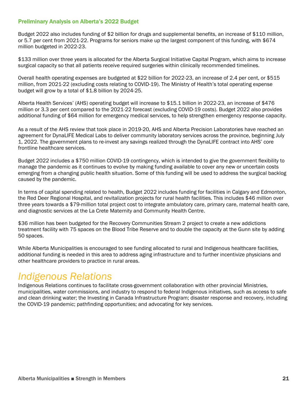Budget 2022 also includes funding of \$2 billion for drugs and supplemental benefits, an increase of \$110 million, or 5.7 per cent from 2021-22. Programs for seniors make up the largest component of this funding, with \$674 million budgeted in 2022-23.

\$133 million over three years is allocated for the Alberta Surgical Initiative Capital Program, which aims to increase surgical capacity so that all patients receive required surgeries within clinically recommended timelines.

Overall health operating expenses are budgeted at \$22 billion for 2022-23, an increase of 2.4 per cent, or \$515 million, from 2021-22 (excluding costs relating to COVID-19). The Ministry of Health's total operating expense budget will grow by a total of \$1.8 billion by 2024-25.

Alberta Health Services' (AHS) operating budget will increase to \$15.1 billion in 2022-23, an increase of \$476 million or 3.3 per cent compared to the 2021-22 forecast (excluding COVID-19 costs). Budget 2022 also provides additional funding of \$64 million for emergency medical services, to help strengthen emergency response capacity.

As a result of the AHS review that took place in 2019-20, AHS and Alberta Precision Laboratories have reached an agreement for DynaLIFE Medical Labs to deliver community laboratory services across the province, beginning July 1, 2022. The government plans to re-invest any savings realized through the DynaLIFE contract into AHS' core frontline healthcare services.

Budget 2022 includes a \$750 million COVID-19 contingency, which is intended to give the government flexibility to manage the pandemic as it continues to evolve by making funding available to cover any new or uncertain costs emerging from a changing public health situation. Some of this funding will be used to address the surgical backlog caused by the pandemic.

In terms of capital spending related to health, Budget 2022 includes funding for facilities in Calgary and Edmonton, the Red Deer Regional Hospital, and revitalization projects for rural health facilities. This includes \$46 million over three years towards a \$79-million total project cost to integrate ambulatory care, primary care, maternal health care, and diagnostic services at the La Crete Maternity and Community Health Centre.

\$36 million has been budgeted for the Recovery Communities Stream 2 project to create a new addictions treatment facility with 75 spaces on the Blood Tribe Reserve and to double the capacity at the Gunn site by adding 50 spaces.

While Alberta Municipalities is encouraged to see funding allocated to rural and Indigenous healthcare facilities, additional funding is needed in this area to address aging infrastructure and to further incentivize physicians and other healthcare providers to practice in rural areas.

#### *Indigenous Relations*

Indigenous Relations continues to facilitate cross-government collaboration with other provincial Ministries, municipalities, water commissions, and industry to respond to federal Indigenous initiatives, such as access to safe and clean drinking water; the Investing in Canada Infrastructure Program; disaster response and recovery, including the COVID-19 pandemic; pathfinding opportunities; and advocating for key services.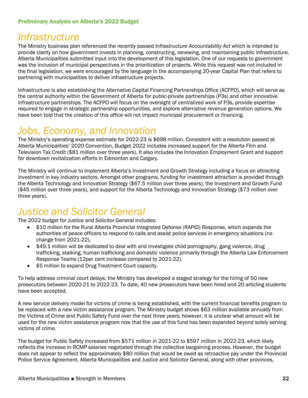#### *Infrastructure*

The Ministry business plan referenced the recently passed *Infrastructure Accountability Act* which is intended to provide clarity on how government invests in planning, constructing, renewing, and maintaining public infrastructure. Alberta Municipalities submitted input into the development of this legislation. One of our requests to government was the inclusion of municipal perspectives in the prioritization of projects. While this request was not included in the final legislation, we were encouraged by the language in the accompanying 20-year Capital Plan that refers to partnering with municipalities to deliver infrastructure projects.

Infrastructure is also establishing the Alternative Capital Financing Partnerships Office (ACFPO), which will serve as the central authority within the Government of Alberta for public-private partnerships (P3s) and other innovative infrastructure partnerships. The ACFPO will focus on the oversight of centralized work of P3s, provide expertise required to engage in strategic partnership opportunities, and explore alternative revenue generation options. We have been told that the creation of this office will not impact municipal procurement or financing.

#### *Jobs, Economy, and Innovation*

The Ministry's operating expense estimate for 2022-23 is \$698 million. Consistent with a resolution passed at Alberta Municipalities' 2020 Convention, Budget 2022 includes increased support for the Alberta Film and Television Tax Credit (\$81 million over three years). It also includes the Innovation Employment Grant and support for downtown revitalization efforts in Edmonton and Calgary.

The Ministry will continue to implement Alberta's Investment and Growth Strategy including a focus on attracting investment in key industry sectors. Amongst other programs, funding for investment attraction is provided through the Alberta Technology and Innovation Strategy (\$67.5 million over three years), the Investment and Growth Fund (\$45 million over three years), and support for the Alberta Technology and Innovation Strategy (\$73 million over three years).

#### *Justice and Solicitor General*

The 2022 budget for Justice and Solicitor General includes:

- \$10 million for the Rural Alberta Provincial Integrated Defense (RAPID) Response, which expands the authorities of peace officers to respond to calls and assist police services in emergency situations (no change from 2021-22).
- \$49.1 million will be dedicated to deal with and investigate child pornography, gang violence, drug trafficking, stalking, human trafficking and domestic violence primarily through the Alberta Law Enforcement Response Teams (12per cent increase compared to 2021-22).
- \$5 million to expand Drug Treatment Court capacity.

To help address criminal court delays, the Ministry has developed a staged strategy for the hiring of 50 new prosecutors between 2020-21 to 2022-23. To date, 40 new prosecutors have been hired and 20 articling students have been accepted.

A new service delivery model for victims of crime is being established, with the current financial benefits program to be replaced with a new victim assistance program. The Ministry budget shows \$63 million available annually from the Victims of Crime and Public Safety Fund over the next three years; however, it is unclear what amount will be used for the new victim assistance program now that the use of this fund has been expanded beyond solely serving victims of crime.

The budget for Public Safety increased from \$571 million in 2021-22 to \$597 million in 2022-23, which likely reflects the increase in RCMP salaries negotiated through the collective bargaining process. However, the budget does not appear to reflect the approximately \$80 million that would be owed as retroactive pay under the Provincial Police Service Agreement. Alberta Municipalities and Justice and Solicitor General, along with other provinces,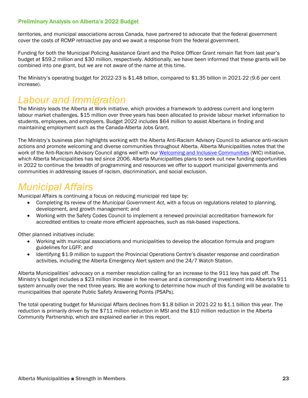territories, and municipal associations across Canada, have partnered to advocate that the federal government cover the costs of RCMP retroactive pay and we await a response from the federal government.

Funding for both the Municipal Policing Assistance Grant and the Police Officer Grant remain flat from last year's budget at \$59.2 million and \$30 million, respectively. Additionally, we have been informed that these grants will be combined into one grant, but we are not aware of the name at this time.

The Ministry's operating budget for 2022-23 is \$1.48 billion, compared to \$1.35 billion in 2021-22 (9.6 per cent increase).

#### *Labour and Immigration*

The Ministry leads the Alberta at Work initiative, which provides a framework to address current and long-term labour market challenges. \$15 million over three years has been allocated to provide labour market information to students, employees, and employers. Budget 2022 includes \$64 million to assist Albertans in finding and maintaining employment such as the Canada-Alberta Jobs Grant.

The Ministry's business plan highlights working with the Alberta Anti-Racism Advisory Council to advance anti-racism actions and promote welcoming and diverse communities throughout Alberta. Alberta Municipalities notes that the work of the Anti-Racism Advisory Council aligns well with our Welcoming and Inclusive Communities (WIC) initiative, which Alberta Municipalities has led since 2006. Alberta Municipalities plans to seek out new funding opportunities in 2022 to continue the breadth of programming and resources we offer to support municipal governments and communities in addressing issues of racism, discrimination, and social exclusion.

#### *Municipal Affairs*

Municipal Affairs is continuing a focus on reducing municipal red tape by:

- Completing its review of the *Municipal Government Act*, with a focus on regulations related to planning, development, and growth management; and
- Working with the Safety Codes Council to implement a renewed provincial accreditation framework for accredited entities to create more efficient approaches, such as risk-based inspections.

Other planned initiatives include:

- Working with municipal associations and municipalities to develop the allocation formula and program guidelines for LGFF; and
- Identifying \$1.9 million to support the Provincial Operations Centre's disaster response and coordination activities, including the Alberta Emergency Alert system and the 24/7 Watch Station.

Alberta Municipalities' advocacy on a member resolution calling for an increase to the 911 levy has paid off. The Ministry's budget includes a \$23 million increase in fee revenue and a corresponding investment into Alberta's 911 system annually over the next three years. We are working to determine how much of this funding will be available to municipalities that operate Public Safety Answering Points (PSAPs).

The total operating budget for Municipal Affairs declines from \$1.8 billion in 2021-22 to \$1.1 billion this year. The reduction is primarily driven by the \$711 million reduction in MSI and the \$10 million reduction in the Alberta Community Partnership, which are explained earlier in this report.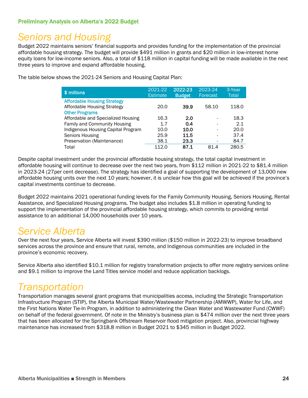## *Seniors and Housing*

Budget 2022 maintains seniors' financial supports and provides funding for the implementation of the provincial affordable housing strategy. The budget will provide \$491 million in grants and \$20 million in low-interest home equity loans for low-income seniors. Also, a total of \$118 million in capital funding will be made available in the next three years to improve and expand affordable housing.

The table below shows the 2021-24 Seniors and Housing Capital Plan:

| \$ millions                                                                                       | 2021-22<br><b>Estimate</b> | 2022-23<br><b>Budget</b> | 2023-24<br>Forecast | 3-Year<br>Total |
|---------------------------------------------------------------------------------------------------|----------------------------|--------------------------|---------------------|-----------------|
| <b>Affordable Housing Strategy</b><br><b>Affordable Housing Strategy</b><br><b>Other Programs</b> | 20.0                       | 39.9                     | 58.10               | 118.0           |
| Affordable and Specialized Housing                                                                | 16.3                       | 2.0                      |                     | 18.3            |
| Family and Community Housing                                                                      | 17                         | 0.4                      |                     | 2.1             |
| Indigenous Housing Capital Program                                                                | 10.0                       | 10.0                     |                     | 20.0            |
| <b>Seniors Housing</b>                                                                            | 25.9                       | 11.5                     |                     | 37.4            |
| Preservation (Maintenance)                                                                        | 38.1                       | 23.3                     |                     | 84.7            |
| Total                                                                                             | 112.0                      | 87.1                     | 814                 | 280.5           |

Despite capital investment under the provincial affordable housing strategy, the total capital investment in affordable housing will continue to decrease over the next two years, from \$112 million in 2021-22 to \$81.4 million in 2023-24 (27per cent decrease). The strategy has identified a goal of supporting the development of 13,000 new affordable housing units over the next 10 years; however, it is unclear how this goal will be achieved if the province's capital investments continue to decrease.

Budget 2022 maintains 2021 operational funding levels for the Family Community Housing, Seniors Housing, Rental Assistance, and Specialized Housing programs. The budget also includes \$1.8 million in operating funding to support the implementation of the provincial affordable housing strategy, which commits to providing rental assistance to an additional 14,000 households over 10 years.

#### *Service Alberta*

Over the next four years, Service Alberta will invest \$390 million (\$150 million in 2022-23) to improve broadband services across the province and ensure that rural, remote, and Indigenous communities are included in the province's economic recovery.

Service Alberta also identified \$10.1 million for registry transformation projects to offer more registry services online and \$9.1 million to improve the Land Titles service model and reduce application backlogs.

#### *Transportation*

Transportation manages several grant programs that municipalities access, including the Strategic Transportation Infrastructure Program (STIP), the Alberta Municipal Water/Wastewater Partnership (AMWWP), Water for Life, and the First Nations Water Tie-In Program, in addition to administering the Clean Water and Wastewater Fund (CWWF) on behalf of the federal government. Of note in the Ministry's business plan is \$474 million over the next three years that has been allocated for the Springbank Offstream Reservoir flood mitigation project. Also, provincial highway maintenance has increased from \$318.8 million in Budget 2021 to \$345 million in Budget 2022.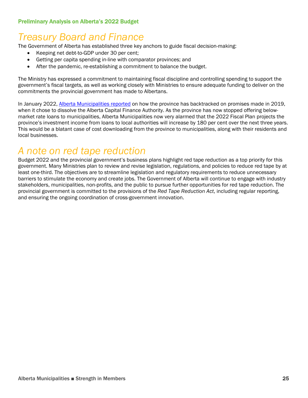#### *Treasury Board and Finance*

The Government of Alberta has established three key anchors to guide fiscal decision-making:

- Keeping net debt-to-GDP under 30 per cent;
- Getting per capita spending in-line with comparator provinces; and
- After the pandemic, re-establishing a commitment to balance the budget.

The Ministry has expressed a commitment to maintaining fiscal discipline and controlling spending to support the government's fiscal targets, as well as working closely with Ministries to ensure adequate funding to deliver on the commitments the provincial government has made to Albertans.

In January 2022, Alberta Municipalities reported on how the province has backtracked on promises made in 2019, when it chose to dissolve the Alberta Capital Finance Authority. As the province has now stopped offering belowmarket rate loans to municipalities, Alberta Municipalities now very alarmed that the 2022 Fiscal Plan projects the province's investment income from loans to local authorities will increase by 180 per cent over the next three years. This would be a blatant case of cost downloading from the province to municipalities, along with their residents and local businesses.

#### *A note on red tape reduction*

Budget 2022 and the provincial government's business plans highlight red tape reduction as a top priority for this government. Many Ministries plan to review and revise legislation, regulations, and policies to reduce red tape by at least one-third. The objectives are to streamline legislation and regulatory requirements to reduce unnecessary barriers to stimulate the economy and create jobs. The Government of Alberta will continue to engage with industry stakeholders, municipalities, non-profits, and the public to pursue further opportunities for red tape reduction. The provincial government is committed to the provisions of the *Red Tape Reduction Act*, including regular reporting, and ensuring the ongoing coordination of cross-government innovation.